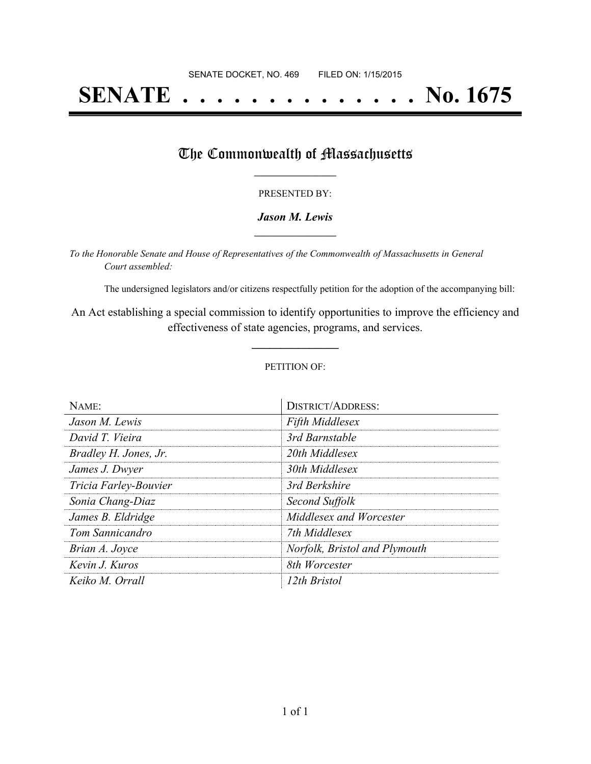# **SENATE . . . . . . . . . . . . . . No. 1675**

### The Commonwealth of Massachusetts

#### PRESENTED BY:

#### *Jason M. Lewis* **\_\_\_\_\_\_\_\_\_\_\_\_\_\_\_\_\_**

*To the Honorable Senate and House of Representatives of the Commonwealth of Massachusetts in General Court assembled:*

The undersigned legislators and/or citizens respectfully petition for the adoption of the accompanying bill:

An Act establishing a special commission to identify opportunities to improve the efficiency and effectiveness of state agencies, programs, and services.

**\_\_\_\_\_\_\_\_\_\_\_\_\_\_\_**

#### PETITION OF:

| NAME:                 | <b>DISTRICT/ADDRESS:</b>      |
|-----------------------|-------------------------------|
| Jason M. Lewis        | <b>Fifth Middlesex</b>        |
| David T. Vieira       | 3rd Barnstable                |
| Bradley H. Jones, Jr. | 20th Middlesex                |
| James J. Dwyer        | 30th Middlesex                |
| Tricia Farley-Bouvier | 3rd Berkshire                 |
| Sonia Chang-Diaz      | Second Suffolk                |
| James B. Eldridge     | Middlesex and Worcester       |
| Tom Sannicandro       | 7th Middlesex                 |
| Brian A. Joyce        | Norfolk, Bristol and Plymouth |
| Kevin J. Kuros        | 8th Worcester                 |
| Keiko M. Orrall       | 12th Bristol                  |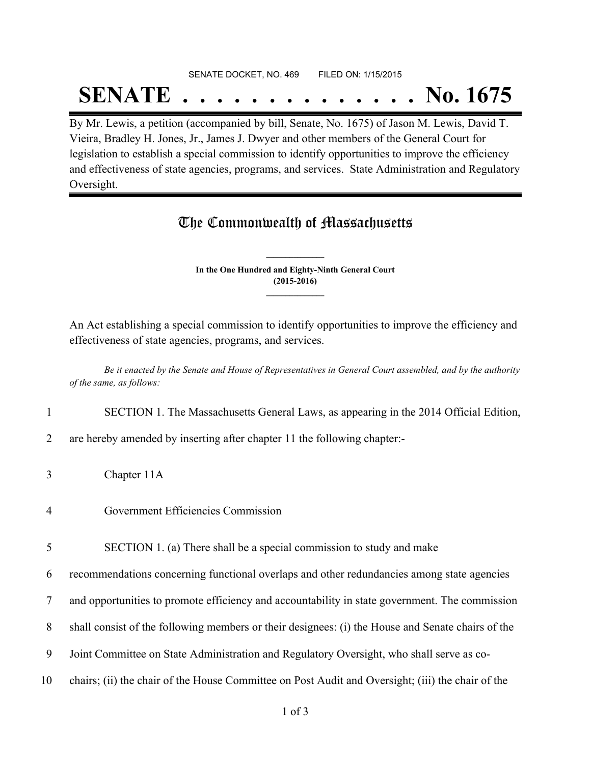#### SENATE DOCKET, NO. 469 FILED ON: 1/15/2015

## **SENATE . . . . . . . . . . . . . . No. 1675**

By Mr. Lewis, a petition (accompanied by bill, Senate, No. 1675) of Jason M. Lewis, David T. Vieira, Bradley H. Jones, Jr., James J. Dwyer and other members of the General Court for legislation to establish a special commission to identify opportunities to improve the efficiency and effectiveness of state agencies, programs, and services. State Administration and Regulatory Oversight.

## The Commonwealth of Massachusetts

**In the One Hundred and Eighty-Ninth General Court (2015-2016) \_\_\_\_\_\_\_\_\_\_\_\_\_\_\_**

**\_\_\_\_\_\_\_\_\_\_\_\_\_\_\_**

An Act establishing a special commission to identify opportunities to improve the efficiency and effectiveness of state agencies, programs, and services.

Be it enacted by the Senate and House of Representatives in General Court assembled, and by the authority *of the same, as follows:*

1 SECTION 1. The Massachusetts General Laws, as appearing in the 2014 Official Edition,

2 are hereby amended by inserting after chapter 11 the following chapter:-

- 3 Chapter 11A
- 4 Government Efficiencies Commission
- 5 SECTION 1. (a) There shall be a special commission to study and make

6 recommendations concerning functional overlaps and other redundancies among state agencies

- 7 and opportunities to promote efficiency and accountability in state government. The commission
- 8 shall consist of the following members or their designees: (i) the House and Senate chairs of the
- 9 Joint Committee on State Administration and Regulatory Oversight, who shall serve as co-
- 10 chairs; (ii) the chair of the House Committee on Post Audit and Oversight; (iii) the chair of the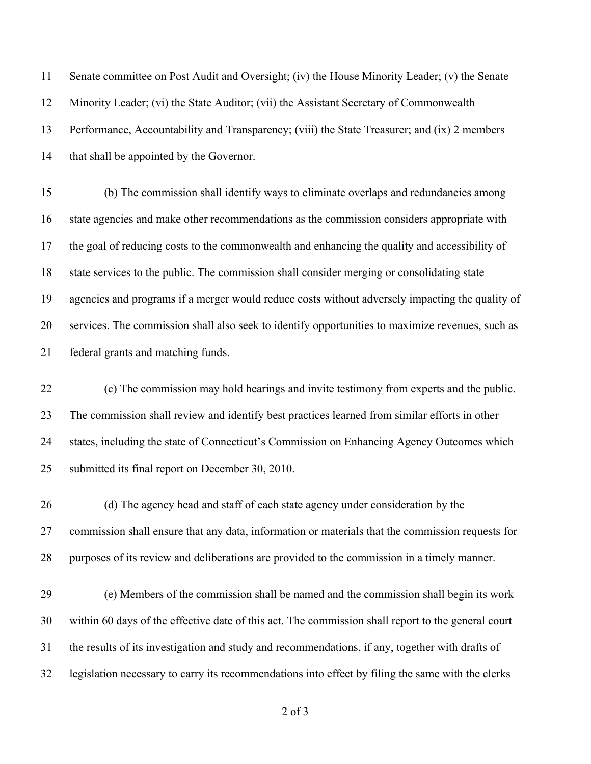Senate committee on Post Audit and Oversight; (iv) the House Minority Leader; (v) the Senate Minority Leader; (vi) the State Auditor; (vii) the Assistant Secretary of Commonwealth Performance, Accountability and Transparency; (viii) the State Treasurer; and (ix) 2 members 14 that shall be appointed by the Governor.

 (b) The commission shall identify ways to eliminate overlaps and redundancies among state agencies and make other recommendations as the commission considers appropriate with the goal of reducing costs to the commonwealth and enhancing the quality and accessibility of state services to the public. The commission shall consider merging or consolidating state agencies and programs if a merger would reduce costs without adversely impacting the quality of services. The commission shall also seek to identify opportunities to maximize revenues, such as federal grants and matching funds.

 (c) The commission may hold hearings and invite testimony from experts and the public. The commission shall review and identify best practices learned from similar efforts in other states, including the state of Connecticut's Commission on Enhancing Agency Outcomes which submitted its final report on December 30, 2010.

 (d) The agency head and staff of each state agency under consideration by the commission shall ensure that any data, information or materials that the commission requests for purposes of its review and deliberations are provided to the commission in a timely manner.

 (e) Members of the commission shall be named and the commission shall begin its work within 60 days of the effective date of this act. The commission shall report to the general court the results of its investigation and study and recommendations, if any, together with drafts of legislation necessary to carry its recommendations into effect by filing the same with the clerks